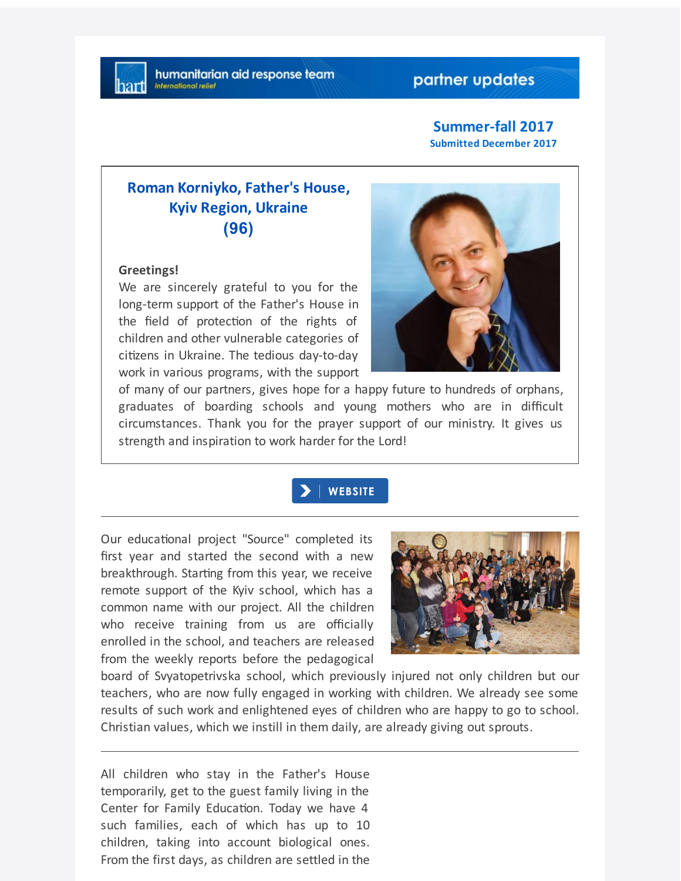## partner updates

### **Summer-fall 2017 Submitted December 2017**

# **Roman Korniyko, Father's House, Kyiv Region, Ukraine (96)**

#### **Greetings!**

We are sincerely grateful to you for the long-term support of the Father's House in the field of protection of the rights of children and other vulnerable categories of citizens in Ukraine. The tedious day-to-day work in various programs, with the support



of many of our partners, gives hope for a happy future to hundreds of orphans, graduates of boarding schools and young mothers who are in difficult circumstances. Thank you for the prayer support of our ministry. It gives us strength and inspiration to work harder for the Lord!

## **WEBSITE**

Our educational project "Source" completed its first year and started the second with a new breakthrough. Starting from this year, we receive remote support of the Kyiv school, which has a common name with our project. All the children who receive training from us are officially enrolled in the school, and teachers are released from the weekly reports before the pedagogical



board of Svyatopetrivska school, which previously injured not only children but our teachers, who are now fully engaged in working with children. We already see some results of such work and enlightened eyes of children who are happy to go to school. Christian values, which we instill in them daily, are already giving out sprouts.

All children who stay in the Father's House temporarily, get to the guest family living in the Center for Family Education. Today we have 4 such families, each of which has up to 10 children, taking into account biological ones. From the first days, as children are settled in the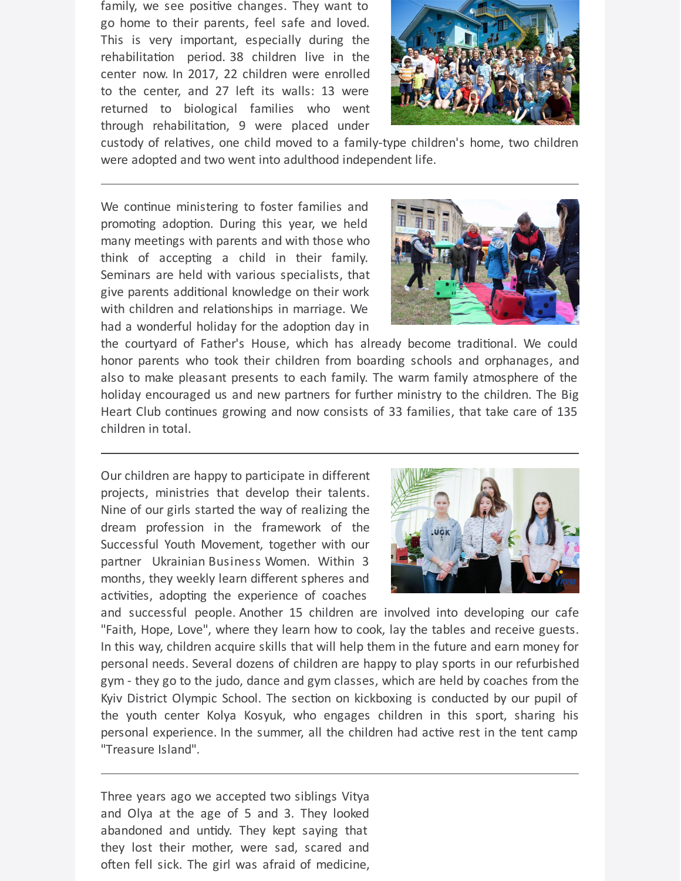family, we see positive changes. They want to go home to their parents, feel safe and loved. This is very important, especially during the rehabilitation period. 38 children live in the center now. In 2017, 22 children were enrolled to the center, and 27 left its walls: 13 were returned to biological families who went through rehabilitation, 9 were placed under



custody of relatives, one child moved to a family-type children's home, two children were adopted and two went into adulthood independent life.

We continue ministering to foster families and promoting adoption. During this year, we held many meetings with parents and with those who think of accepting a child in their family. Seminars are held with various specialists, that give parents additional knowledge on their work with children and relationships in marriage. We had a wonderful holiday for the adoption day in



the courtyard of Father's House, which has already become traditional. We could honor parents who took their children from boarding schools and orphanages, and also to make pleasant presents to each family. The warm family atmosphere of the holiday encouraged us and new partners for further ministry to the children. The Big Heart Club continues growing and now consists of 33 families, that take care of 135 children in total.

Our children are happy to participate in different projects, ministries that develop their talents. Nine of our girls started the way of realizing the dream profession in the framework of the Successful Youth Movement, together with our partner Ukrainian Business Women. Within 3 months, they weekly learn different spheres and activities, adopting the experience of coaches



and successful people. Another 15 children are involved into developing our cafe "Faith, Hope, Love", where they learn how to cook, lay the tables and receive guests. In this way, children acquire skills that will help them in the future and earn money for personal needs. Several dozens of children are happy to play sports in our refurbished gym - they go to the judo, dance and gym classes, which are held by coaches from the Kyiv District Olympic School. The section on kickboxing is conducted by our pupil of the youth center Kolya Kosyuk, who engages children in this sport, sharing his personal experience. In the summer, all the children had active rest in the tent camp "Treasure Island".

Three years ago we accepted two siblings Vitya and Olya at the age of 5 and 3. They looked abandoned and untidy. They kept saying that they lost their mother, were sad, scared and often fell sick. The girl was afraid of medicine,